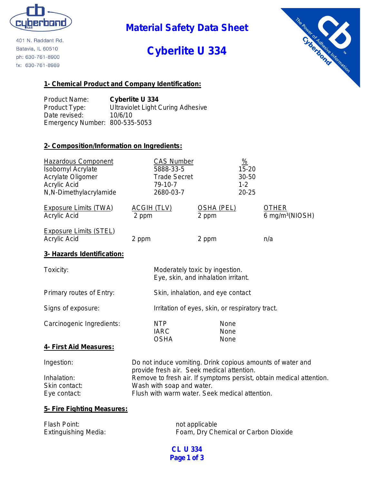

401 N. Raddant Rd. Batavia, IL 60510 ph: 630-761-8900 fx: 630-761-8989

# **Material Safety Data Sheet**

# **Cyberlite U 334**



## **1- Chemical Product and Company Identification:**

Product Name: **Cyberlite U 334** Product Type: Ultraviolet Light Curing Adhesive Date revised: 10/6/10 Emergency Number: 800-535-5053

## **2- Composition/Information on Ingredients:**

| <b>Hazardous Component</b><br><b>Isobornyl Acrylate</b><br>Acrylate Oligomer<br><b>Acrylic Acid</b><br>N,N-Dimethylacrylamide | 79-10-7                                                                                                                                                                         | <b>CAS Number</b><br>5888-33-5<br><b>Trade Secret</b><br>2680-03-7 |                                                                       | $\frac{9}{6}$<br>15-20<br>30-50<br>$1 - 2$<br>$20 - 25$ |                                             |
|-------------------------------------------------------------------------------------------------------------------------------|---------------------------------------------------------------------------------------------------------------------------------------------------------------------------------|--------------------------------------------------------------------|-----------------------------------------------------------------------|---------------------------------------------------------|---------------------------------------------|
| <b>Exposure Limits (TWA)</b><br><b>Acrylic Acid</b>                                                                           | <b>ACGIH (TLV)</b><br>2 ppm                                                                                                                                                     |                                                                    | <b>OSHA (PEL)</b><br>2 ppm                                            |                                                         | <b>OTHER</b><br>6 mg/m <sup>3</sup> (NIOSH) |
| <b>Exposure Limits (STEL)</b><br>Acrylic Acid                                                                                 | 2 ppm                                                                                                                                                                           |                                                                    | 2 ppm                                                                 |                                                         | n/a                                         |
| 3- Hazards Identification:                                                                                                    |                                                                                                                                                                                 |                                                                    |                                                                       |                                                         |                                             |
| Toxicity:                                                                                                                     |                                                                                                                                                                                 |                                                                    | Moderately toxic by ingestion.<br>Eye, skin, and inhalation irritant. |                                                         |                                             |
| Primary routes of Entry:                                                                                                      |                                                                                                                                                                                 |                                                                    | Skin, inhalation, and eye contact                                     |                                                         |                                             |
| Signs of exposure:                                                                                                            |                                                                                                                                                                                 |                                                                    | Irritation of eyes, skin, or respiratory tract.                       |                                                         |                                             |
| Carcinogenic Ingredients:                                                                                                     | <b>NTP</b><br><b>IARC</b><br><b>OSHA</b>                                                                                                                                        |                                                                    | None<br>None<br>None                                                  |                                                         |                                             |
| 4- First Aid Measures:                                                                                                        |                                                                                                                                                                                 |                                                                    |                                                                       |                                                         |                                             |
| Ingestion:<br>Inhalation:                                                                                                     | Do not induce vomiting. Drink copious amounts of water and<br>provide fresh air. Seek medical attention.<br>Remove to fresh air. If symptoms persist, obtain medical attention. |                                                                    |                                                                       |                                                         |                                             |
| Skin contact:                                                                                                                 | Wash with soap and water.                                                                                                                                                       |                                                                    |                                                                       |                                                         |                                             |

## Eye contact: Flush with warm water. Seek medical attention.

#### **5- Fire Fighting Measures:**

| Flash Point:                | not applicable                       |
|-----------------------------|--------------------------------------|
| <b>Extinguishing Media:</b> | Foam, Dry Chemical or Carbon Dioxide |

**CL U 334 Page 1 of 3**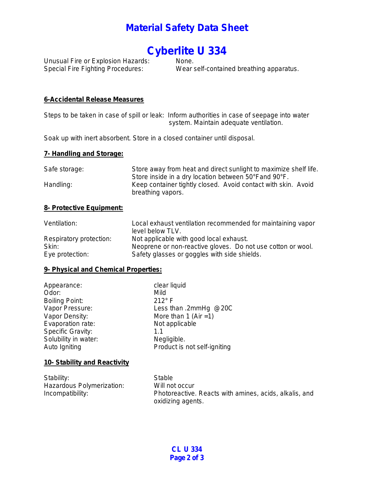## **Material Safety Data Sheet**

# **Cyberlite U 334**

Unusual Fire or Explosion Hazards:<br>Special Fire Fighting Procedures:

Wear self-contained breathing apparatus.

#### **6-Accidental Release Measures**

Steps to be taken in case of spill or leak: Inform authorities in case of seepage into water system. Maintain adequate ventilation.

Soak up with inert absorbent. Store in a closed container until disposal.

#### **7- Handling and Storage:**

| Safe storage: | Store away from heat and direct sunlight to maximize shelf life. |
|---------------|------------------------------------------------------------------|
|               | Store inside in a dry location between 50°Fand 90°F.             |
| Handling:     | Keep container tightly closed. Avoid contact with skin. Avoid    |
|               | breathing vapors.                                                |

#### **8- Protective Equipment:**

| Ventilation:            | Local exhaust ventilation recommended for maintaining vapor |
|-------------------------|-------------------------------------------------------------|
|                         | level below TLV.                                            |
| Respiratory protection: | Not applicable with good local exhaust.                     |
| Skin:                   | Neoprene or non-reactive gloves. Do not use cotton or wool. |
| Eye protection:         | Safety glasses or goggles with side shields.                |

#### **9- Physical and Chemical Properties:**

| Appearance:                  | clear liquid                 |
|------------------------------|------------------------------|
| Odor:                        | Mild                         |
| <b>Boiling Point:</b>        | $212^{\circ}$ F              |
| Vapor Pressure:              | Less than .2mmHg $@20C$      |
| Vapor Density:               | More than 1 (Air = 1)        |
| Evaporation rate:            | Not applicable               |
| Specific Gravity:            | 1.1                          |
| Solubility in water:         | Negligible.                  |
| Auto Igniting                | Product is not self-igniting |
| 10- Stability and Reactivity |                              |

#### Stability: Stable Hazardous Polymerization: Will not occur Incompatibility: Photoreactive. Reacts with amines, acids, alkalis, and oxidizing agents.